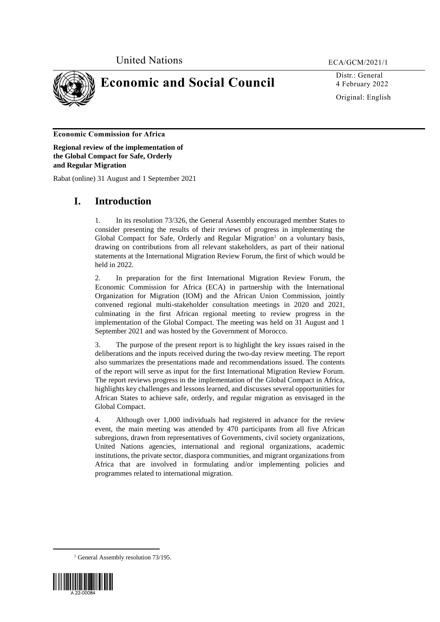

**Economic and Social Council**

Distr.: General 4 February 2022 Original: English

# **Economic Commission for Africa**

**Regional review of the implementation of the Global Compact for Safe, Orderly and Regular Migration**

Rabat (online) 31 August and 1 September 2021

# **I. Introduction**

1. In its resolution 73/326, the General Assembly encouraged member States to consider presenting the results of their reviews of progress in implementing the Global Compact for Safe, Orderly and Regular Migration<sup>1</sup> on a voluntary basis, drawing on contributions from all relevant stakeholders, as part of their national statements at the International Migration Review Forum, the first of which would be held in 2022.

2. In preparation for the first International Migration Review Forum, the Economic Commission for Africa (ECA) in partnership with the International Organization for Migration (IOM) and the African Union Commission, jointly convened regional multi-stakeholder consultation meetings in 2020 and 2021, culminating in the first African regional meeting to review progress in the implementation of the Global Compact. The meeting was held on 31 August and 1 September 2021 and was hosted by the Government of Morocco.

3. The purpose of the present report is to highlight the key issues raised in the deliberations and the inputs received during the two-day review meeting. The report also summarizes the presentations made and recommendations issued. The contents of the report will serve as input for the first International Migration Review Forum. The report reviews progress in the implementation of the Global Compact in Africa, highlights key challenges and lessons learned, and discusses several opportunities for African States to achieve safe, orderly, and regular migration as envisaged in the Global Compact.

4. Although over 1,000 individuals had registered in advance for the review event, the main meeting was attended by 470 participants from all five African subregions, drawn from representatives of Governments, civil society organizations, United Nations agencies, international and regional organizations, academic institutions, the private sector, diaspora communities, and migrant organizations from Africa that are involved in formulating and/or implementing policies and programmes related to international migration.

<sup>1</sup> General Assembly resolution 73/195.



**.**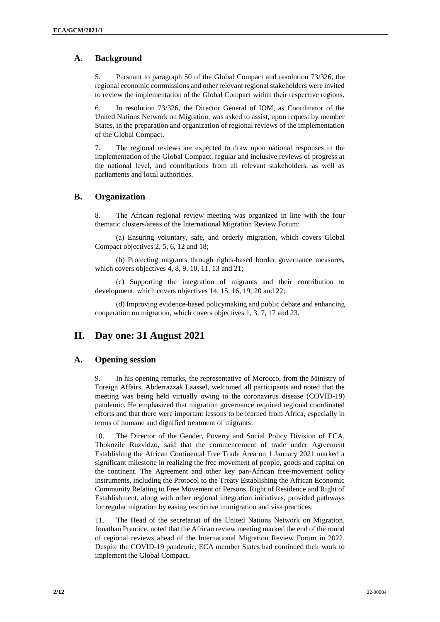# **A. Background**

5. Pursuant to paragraph 50 of the Global Compact and resolution 73/326, the regional economic commissions and other relevant regional stakeholders were invited to review the implementation of the Global Compact within their respective regions.

6. In resolution 73/326, the Director General of IOM, as Coordinator of the United Nations Network on Migration, was asked to assist, upon request by member States, in the preparation and organization of regional reviews of the implementation of the Global Compact.

7. The regional reviews are expected to draw upon national responses in the implementation of the Global Compact, regular and inclusive reviews of progress at the national level, and contributions from all relevant stakeholders, as well as parliaments and local authorities.

# **B. Organization**

8. The African regional review meeting was organized in line with the four thematic clusters/areas of the International Migration Review Forum:

(a) Ensuring voluntary, safe, and orderly migration, which covers Global Compact objectives 2, 5, 6, 12 and 18;

(b) Protecting migrants through rights-based border governance measures, which covers objectives 4, 8, 9, 10, 11, 13 and 21;

(c) Supporting the integration of migrants and their contribution to development, which covers objectives 14, 15, 16, 19, 20 and 22;

(d) Improving evidence-based policymaking and public debate and enhancing cooperation on migration, which covers objectives 1, 3, 7, 17 and 23.

# **II. Day one: 31 August 2021**

# **A. Opening session**

9. In his opening remarks, the representative of Morocco, from the Ministry of Foreign Affairs, Abderrazzak Laassel, welcomed all participants and noted that the meeting was being held virtually owing to the coronavirus disease (COVID-19) pandemic. He emphasized that migration governance required regional coordinated efforts and that there were important lessons to be learned from Africa, especially in terms of humane and dignified treatment of migrants.

10. The Director of the Gender, Poverty and Social Policy Division of ECA, Thokozile Ruzvidzo, said that the commencement of trade under Agreement Establishing the African Continental Free Trade Area on 1 January 2021 marked a significant milestone in realizing the free movement of people, goods and capital on the continent. The Agreement and other key pan-African free-movement policy instruments, including the Protocol to the Treaty Establishing the African Economic Community Relating to Free Movement of Persons, Right of Residence and Right of Establishment, along with other regional integration initiatives, provided pathways for regular migration by easing restrictive immigration and visa practices.

11. The Head of the secretariat of the United Nations Network on Migration, Jonathan Prentice, noted that the African review meeting marked the end of the round of regional reviews ahead of the International Migration Review Forum in 2022. Despite the COVID-19 pandemic, ECA member States had continued their work to implement the Global Compact.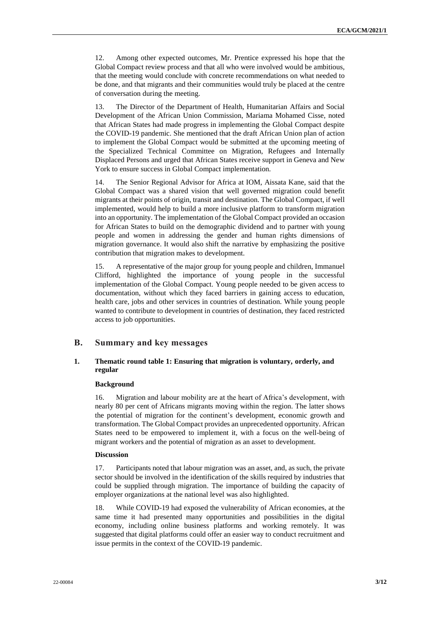12. Among other expected outcomes, Mr. Prentice expressed his hope that the Global Compact review process and that all who were involved would be ambitious, that the meeting would conclude with concrete recommendations on what needed to be done, and that migrants and their communities would truly be placed at the centre of conversation during the meeting.

13. The Director of the Department of Health, Humanitarian Affairs and Social Development of the African Union Commission, Mariama Mohamed Cisse, noted that African States had made progress in implementing the Global Compact despite the COVID-19 pandemic. She mentioned that the draft African Union plan of action to implement the Global Compact would be submitted at the upcoming meeting of the Specialized Technical Committee on Migration, Refugees and Internally Displaced Persons and urged that African States receive support in Geneva and New York to ensure success in Global Compact implementation.

14. The Senior Regional Advisor for Africa at IOM, Aissata Kane, said that the Global Compact was a shared vision that well governed migration could benefit migrants at their points of origin, transit and destination. The Global Compact, if well implemented, would help to build a more inclusive platform to transform migration into an opportunity. The implementation of the Global Compact provided an occasion for African States to build on the demographic dividend and to partner with young people and women in addressing the gender and human rights dimensions of migration governance. It would also shift the narrative by emphasizing the positive contribution that migration makes to development.

15. A representative of the major group for young people and children, Immanuel Clifford, highlighted the importance of young people in the successful implementation of the Global Compact. Young people needed to be given access to documentation, without which they faced barriers in gaining access to education, health care, jobs and other services in countries of destination. While young people wanted to contribute to development in countries of destination, they faced restricted access to job opportunities.

# **B. Summary and key messages**

## **1. Thematic round table 1: Ensuring that migration is voluntary, orderly, and regular**

### **Background**

16. Migration and labour mobility are at the heart of Africa's development, with nearly 80 per cent of Africans migrants moving within the region. The latter shows the potential of migration for the continent's development, economic growth and transformation. The Global Compact provides an unprecedented opportunity. African States need to be empowered to implement it, with a focus on the well-being of migrant workers and the potential of migration as an asset to development.

## **Discussion**

17. Participants noted that labour migration was an asset, and, as such, the private sector should be involved in the identification of the skills required by industries that could be supplied through migration. The importance of building the capacity of employer organizations at the national level was also highlighted.

18. While COVID-19 had exposed the vulnerability of African economies, at the same time it had presented many opportunities and possibilities in the digital economy, including online business platforms and working remotely. It was suggested that digital platforms could offer an easier way to conduct recruitment and issue permits in the context of the COVID-19 pandemic.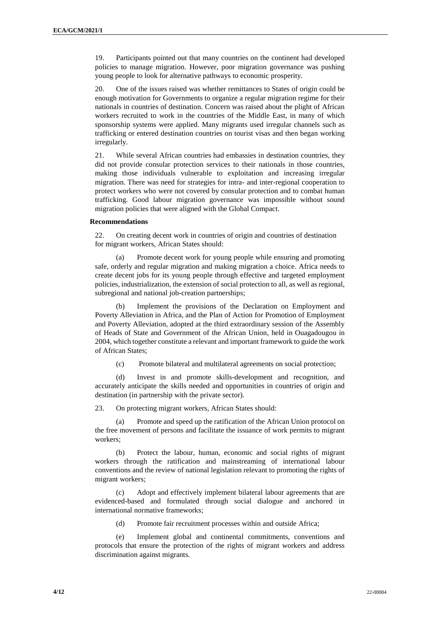19. Participants pointed out that many countries on the continent had developed policies to manage migration. However, poor migration governance was pushing young people to look for alternative pathways to economic prosperity.

20. One of the issues raised was whether remittances to States of origin could be enough motivation for Governments to organize a regular migration regime for their nationals in countries of destination. Concern was raised about the plight of African workers recruited to work in the countries of the Middle East, in many of which sponsorship systems were applied. Many migrants used irregular channels such as trafficking or entered destination countries on tourist visas and then began working irregularly.

21. While several African countries had embassies in destination countries, they did not provide consular protection services to their nationals in those countries, making those individuals vulnerable to exploitation and increasing irregular migration. There was need for strategies for intra- and inter-regional cooperation to protect workers who were not covered by consular protection and to combat human trafficking. Good labour migration governance was impossible without sound migration policies that were aligned with the Global Compact.

## **Recommendations**

22. On creating decent work in countries of origin and countries of destination for migrant workers, African States should:

(a) Promote decent work for young people while ensuring and promoting safe, orderly and regular migration and making migration a choice. Africa needs to create decent jobs for its young people through effective and targeted employment policies, industrialization, the extension of social protection to all, as well as regional, subregional and national job-creation partnerships;

(b) Implement the provisions of the Declaration on Employment and Poverty Alleviation in Africa, and the Plan of Action for Promotion of Employment and Poverty Alleviation, adopted at the third extraordinary session of the Assembly of Heads of State and Government of the African Union, held in Ouagadougou in 2004, which together constitute a relevant and important framework to guide the work of African States;

(c) Promote bilateral and multilateral agreements on social protection;

(d) Invest in and promote skills-development and recognition, and accurately anticipate the skills needed and opportunities in countries of origin and destination (in partnership with the private sector).

23. On protecting migrant workers, African States should:

(a) Promote and speed up the ratification of the African Union protocol on the free movement of persons and facilitate the issuance of work permits to migrant workers;

(b) Protect the labour, human, economic and social rights of migrant workers through the ratification and mainstreaming of international labour conventions and the review of national legislation relevant to promoting the rights of migrant workers;

(c) Adopt and effectively implement bilateral labour agreements that are evidenced-based and formulated through social dialogue and anchored in international normative frameworks;

(d) Promote fair recruitment processes within and outside Africa;

(e) Implement global and continental commitments, conventions and protocols that ensure the protection of the rights of migrant workers and address discrimination against migrants.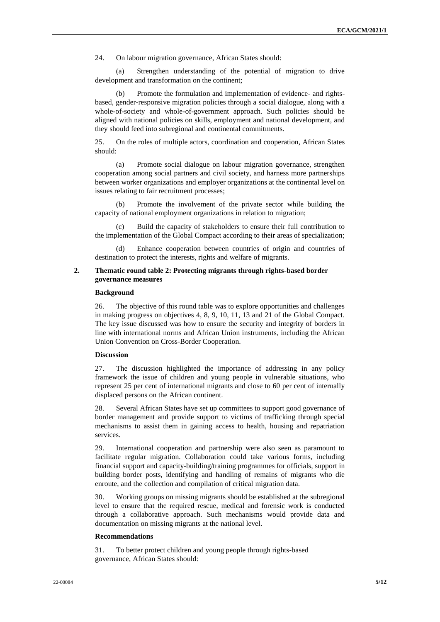24. On labour migration governance, African States should:

(a) Strengthen understanding of the potential of migration to drive development and transformation on the continent;

Promote the formulation and implementation of evidence- and rightsbased, gender-responsive migration policies through a social dialogue, along with a whole-of-society and whole-of-government approach. Such policies should be aligned with national policies on skills, employment and national development, and they should feed into subregional and continental commitments.

25. On the roles of multiple actors, coordination and cooperation, African States should:

(a) Promote social dialogue on labour migration governance, strengthen cooperation among social partners and civil society, and harness more partnerships between worker organizations and employer organizations at the continental level on issues relating to fair recruitment processes;

(b) Promote the involvement of the private sector while building the capacity of national employment organizations in relation to migration;

(c) Build the capacity of stakeholders to ensure their full contribution to the implementation of the Global Compact according to their areas of specialization;

(d) Enhance cooperation between countries of origin and countries of destination to protect the interests, rights and welfare of migrants.

## **2. Thematic round table 2: Protecting migrants through rights-based border governance measures**

#### **Background**

26. The objective of this round table was to explore opportunities and challenges in making progress on objectives 4, 8, 9, 10, 11, 13 and 21 of the Global Compact. The key issue discussed was how to ensure the security and integrity of borders in line with international norms and African Union instruments, including the African Union Convention on Cross-Border Cooperation.

## **Discussion**

27. The discussion highlighted the importance of addressing in any policy framework the issue of children and young people in vulnerable situations, who represent 25 per cent of international migrants and close to 60 per cent of internally displaced persons on the African continent.

28. Several African States have set up committees to support good governance of border management and provide support to victims of trafficking through special mechanisms to assist them in gaining access to health, housing and repatriation services.

29. International cooperation and partnership were also seen as paramount to facilitate regular migration. Collaboration could take various forms, including financial support and capacity-building/training programmes for officials, support in building border posts, identifying and handling of remains of migrants who die enroute, and the collection and compilation of critical migration data.

30. Working groups on missing migrants should be established at the subregional level to ensure that the required rescue, medical and forensic work is conducted through a collaborative approach. Such mechanisms would provide data and documentation on missing migrants at the national level.

## **Recommendations**

31. To better protect children and young people through rights-based governance, African States should: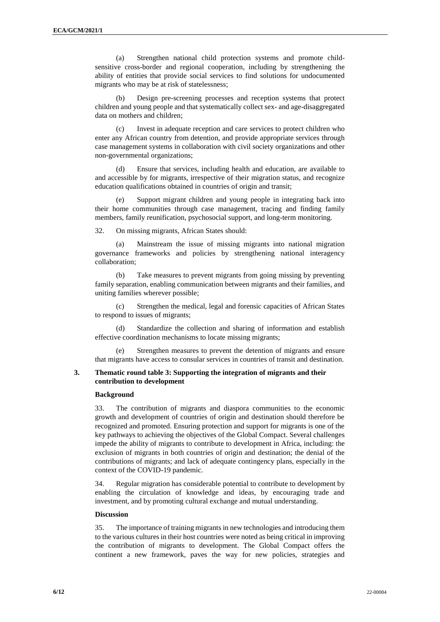(a) Strengthen national child protection systems and promote childsensitive cross-border and regional cooperation, including by strengthening the ability of entities that provide social services to find solutions for undocumented migrants who may be at risk of statelessness;

(b) Design pre-screening processes and reception systems that protect children and young people and that systematically collect sex- and age-disaggregated data on mothers and children;

(c) Invest in adequate reception and care services to protect children who enter any African country from detention, and provide appropriate services through case management systems in collaboration with civil society organizations and other non-governmental organizations;

(d) Ensure that services, including health and education, are available to and accessible by for migrants, irrespective of their migration status, and recognize education qualifications obtained in countries of origin and transit;

(e) Support migrant children and young people in integrating back into their home communities through case management, tracing and finding family members, family reunification, psychosocial support, and long-term monitoring.

32. On missing migrants, African States should:

(a) Mainstream the issue of missing migrants into national migration governance frameworks and policies by strengthening national interagency collaboration;

(b) Take measures to prevent migrants from going missing by preventing family separation, enabling communication between migrants and their families, and uniting families wherever possible;

(c) Strengthen the medical, legal and forensic capacities of African States to respond to issues of migrants;

(d) Standardize the collection and sharing of information and establish effective coordination mechanisms to locate missing migrants;

(e) Strengthen measures to prevent the detention of migrants and ensure that migrants have access to consular services in countries of transit and destination.

## **3. Thematic round table 3: Supporting the integration of migrants and their contribution to development**

#### **Background**

33. The contribution of migrants and diaspora communities to the economic growth and development of countries of origin and destination should therefore be recognized and promoted. Ensuring protection and support for migrants is one of the key pathways to achieving the objectives of the Global Compact. Several challenges impede the ability of migrants to contribute to development in Africa, including: the exclusion of migrants in both countries of origin and destination; the denial of the contributions of migrants; and lack of adequate contingency plans, especially in the context of the COVID-19 pandemic.

34. Regular migration has considerable potential to contribute to development by enabling the circulation of knowledge and ideas, by encouraging trade and investment, and by promoting cultural exchange and mutual understanding.

## **Discussion**

35. The importance of training migrants in new technologies and introducing them to the various cultures in their host countries were noted as being critical in improving the contribution of migrants to development. The Global Compact offers the continent a new framework, paves the way for new policies, strategies and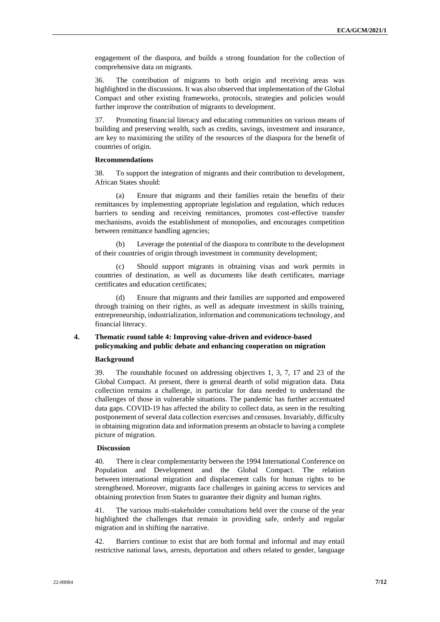engagement of the diaspora, and builds a strong foundation for the collection of comprehensive data on migrants.

36. The contribution of migrants to both origin and receiving areas was highlighted in the discussions. It was also observed that implementation of the Global Compact and other existing frameworks, protocols, strategies and policies would further improve the contribution of migrants to development.

37. Promoting financial literacy and educating communities on various means of building and preserving wealth, such as credits, savings, investment and insurance, are key to maximizing the utility of the resources of the diaspora for the benefit of countries of origin.

## **Recommendations**

38. To support the integration of migrants and their contribution to development, African States should:

(a) Ensure that migrants and their families retain the benefits of their remittances by implementing appropriate legislation and regulation, which reduces barriers to sending and receiving remittances, promotes cost-effective transfer mechanisms, avoids the establishment of monopolies, and encourages competition between remittance handling agencies;

Leverage the potential of the diaspora to contribute to the development of their countries of origin through investment in community development;

(c) Should support migrants in obtaining visas and work permits in countries of destination, as well as documents like death certificates, marriage certificates and education certificates;

Ensure that migrants and their families are supported and empowered through training on their rights, as well as adequate investment in skills training, entrepreneurship, industrialization, information and communications technology, and financial literacy.

## **4. Thematic round table 4: Improving value-driven and evidence-based policymaking and public debate and enhancing cooperation on migration**

#### **Background**

39. The roundtable focused on addressing objectives 1, 3, 7, 17 and 23 of the Global Compact. At present, there is general dearth of solid migration data. Data collection remains a challenge, in particular for data needed to understand the challenges of those in vulnerable situations. The pandemic has further accentuated data gaps. COVID-19 has affected the ability to collect data, as seen in the resulting postponement of several data collection exercises and censuses. Invariably, difficulty in obtaining migration data and information presents an obstacle to having a complete picture of migration.

### **Discussion**

40. There is clear complementarity between the 1994 International Conference on Population and Development and the Global Compact. The relation between international migration and displacement calls for human rights to be strengthened. Moreover, migrants face challenges in gaining access to services and obtaining protection from States to guarantee their dignity and human rights.

41. The various multi-stakeholder consultations held over the course of the year highlighted the challenges that remain in providing safe, orderly and regular migration and in shifting the narrative.

42. Barriers continue to exist that are both formal and informal and may entail restrictive national laws, arrests, deportation and others related to gender, language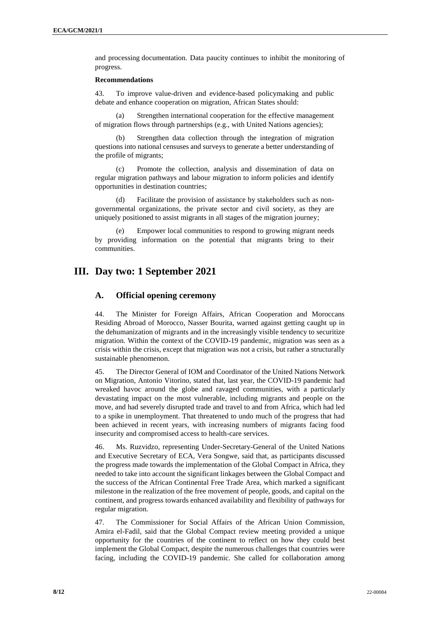and processing documentation. Data paucity continues to inhibit the monitoring of progress.

#### **Recommendations**

43. To improve value-driven and evidence-based policymaking and public debate and enhance cooperation on migration, African States should:

Strengthen international cooperation for the effective management of migration flows through partnerships (e.g., with United Nations agencies);

(b) Strengthen data collection through the integration of migration questions into national censuses and surveys to generate a better understanding of the profile of migrants;

(c) Promote the collection, analysis and dissemination of data on regular migration pathways and labour migration to inform policies and identify opportunities in destination countries;

(d) Facilitate the provision of assistance by stakeholders such as nongovernmental organizations, the private sector and civil society, as they are uniquely positioned to assist migrants in all stages of the migration journey;

Empower local communities to respond to growing migrant needs by providing information on the potential that migrants bring to their communities.

# **III. Day two: 1 September 2021**

# **A. Official opening ceremony**

44. The Minister for Foreign Affairs, African Cooperation and Moroccans Residing Abroad of Morocco, Nasser Bourita, warned against getting caught up in the dehumanization of migrants and in the increasingly visible tendency to securitize migration. Within the context of the COVID-19 pandemic, migration was seen as a crisis within the crisis, except that migration was not a crisis, but rather a structurally sustainable phenomenon.

45. The Director General of IOM and Coordinator of the United Nations Network on Migration, Antonio Vitorino, stated that, last year, the COVID-19 pandemic had wreaked havoc around the globe and ravaged communities, with a particularly devastating impact on the most vulnerable, including migrants and people on the move, and had severely disrupted trade and travel to and from Africa, which had led to a spike in unemployment. That threatened to undo much of the progress that had been achieved in recent years, with increasing numbers of migrants facing food insecurity and compromised access to health-care services.

46. Ms. Ruzvidzo, representing Under-Secretary-General of the United Nations and Executive Secretary of ECA, Vera Songwe, said that, as participants discussed the progress made towards the implementation of the Global Compact in Africa, they needed to take into account the significant linkages between the Global Compact and the success of the African Continental Free Trade Area, which marked a significant milestone in the realization of the free movement of people, goods, and capital on the continent, and progress towards enhanced availability and flexibility of pathways for regular migration.

47. The Commissioner for Social Affairs of the African Union Commission, Amira el-Fadil, said that the Global Compact review meeting provided a unique opportunity for the countries of the continent to reflect on how they could best implement the Global Compact, despite the numerous challenges that countries were facing, including the COVID-19 pandemic. She called for collaboration among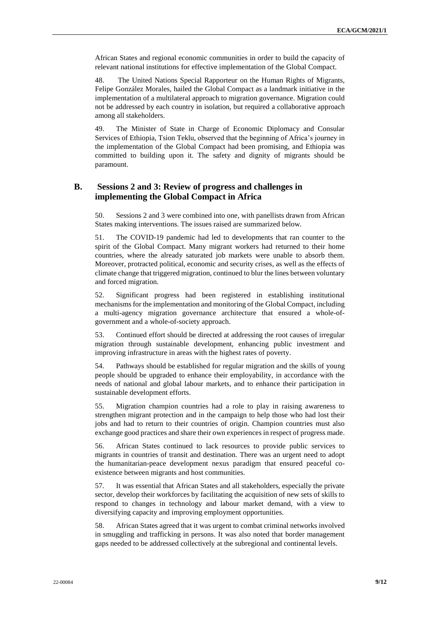African States and regional economic communities in order to build the capacity of relevant national institutions for effective implementation of the Global Compact.

48. The United Nations Special Rapporteur on the Human Rights of Migrants, Felipe González Morales, hailed the Global Compact as a landmark initiative in the implementation of a multilateral approach to migration governance. Migration could not be addressed by each country in isolation, but required a collaborative approach among all stakeholders.

49. The Minister of State in Charge of Economic Diplomacy and Consular Services of Ethiopia, Tsion Teklu, observed that the beginning of Africa's journey in the implementation of the Global Compact had been promising, and Ethiopia was committed to building upon it. The safety and dignity of migrants should be paramount.

# **B. Sessions 2 and 3: Review of progress and challenges in implementing the Global Compact in Africa**

50. Sessions 2 and 3 were combined into one, with panellists drawn from African States making interventions. The issues raised are summarized below.

51. The COVID-19 pandemic had led to developments that ran counter to the spirit of the Global Compact. Many migrant workers had returned to their home countries, where the already saturated job markets were unable to absorb them. Moreover, protracted political, economic and security crises, as well as the effects of climate change that triggered migration, continued to blur the lines between voluntary and forced migration.

52. Significant progress had been registered in establishing institutional mechanisms for the implementation and monitoring of the Global Compact, including a multi-agency migration governance architecture that ensured a whole-ofgovernment and a whole-of-society approach.

53. Continued effort should be directed at addressing the root causes of irregular migration through sustainable development, enhancing public investment and improving infrastructure in areas with the highest rates of poverty.

54. Pathways should be established for regular migration and the skills of young people should be upgraded to enhance their employability, in accordance with the needs of national and global labour markets, and to enhance their participation in sustainable development efforts.

55. Migration champion countries had a role to play in raising awareness to strengthen migrant protection and in the campaign to help those who had lost their jobs and had to return to their countries of origin. Champion countries must also exchange good practices and share their own experiences in respect of progress made.

56. African States continued to lack resources to provide public services to migrants in countries of transit and destination. There was an urgent need to adopt the humanitarian-peace development nexus paradigm that ensured peaceful coexistence between migrants and host communities.

57. It was essential that African States and all stakeholders, especially the private sector, develop their workforces by facilitating the acquisition of new sets of skills to respond to changes in technology and labour market demand, with a view to diversifying capacity and improving employment opportunities.

58. African States agreed that it was urgent to combat criminal networks involved in smuggling and trafficking in persons. It was also noted that border management gaps needed to be addressed collectively at the subregional and continental levels.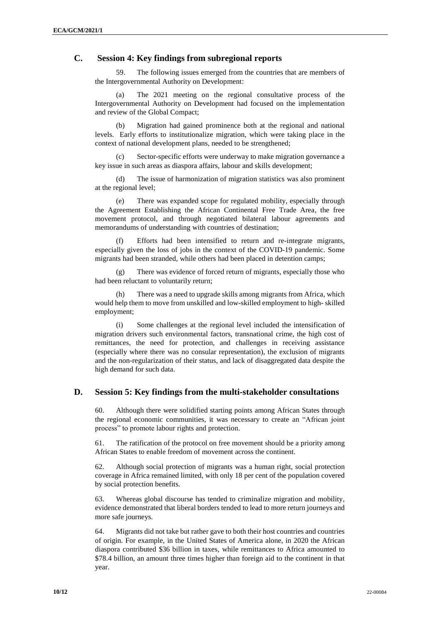# **C. Session 4: Key findings from subregional reports**

59. The following issues emerged from the countries that are members of the Intergovernmental Authority on Development:

The 2021 meeting on the regional consultative process of the Intergovernmental Authority on Development had focused on the implementation and review of the Global Compact;

(b) Migration had gained prominence both at the regional and national levels. Early efforts to institutionalize migration, which were taking place in the context of national development plans, needed to be strengthened;

(c) Sector-specific efforts were underway to make migration governance a key issue in such areas as diaspora affairs, labour and skills development;

(d) The issue of harmonization of migration statistics was also prominent at the regional level;

(e) There was expanded scope for regulated mobility, especially through the Agreement Establishing the African Continental Free Trade Area, the free movement protocol, and through negotiated bilateral labour agreements and memorandums of understanding with countries of destination;

(f) Efforts had been intensified to return and re-integrate migrants, especially given the loss of jobs in the context of the COVID-19 pandemic. Some migrants had been stranded, while others had been placed in detention camps;

(g) There was evidence of forced return of migrants, especially those who had been reluctant to voluntarily return;

(h) There was a need to upgrade skills among migrants from Africa, which would help them to move from unskilled and low-skilled employment to high- skilled employment;

(i) Some challenges at the regional level included the intensification of migration drivers such environmental factors, transnational crime, the high cost of remittances, the need for protection, and challenges in receiving assistance (especially where there was no consular representation), the exclusion of migrants and the non-regularization of their status, and lack of disaggregated data despite the high demand for such data.

# **D. Session 5: Key findings from the multi-stakeholder consultations**

60. Although there were solidified starting points among African States through the regional economic communities, it was necessary to create an "African joint process" to promote labour rights and protection.

61. The ratification of the protocol on free movement should be a priority among African States to enable freedom of movement across the continent.

62. Although social protection of migrants was a human right, social protection coverage in Africa remained limited, with only 18 per cent of the population covered by social protection benefits.

63. Whereas global discourse has tended to criminalize migration and mobility, evidence demonstrated that liberal borders tended to lead to more return journeys and more safe journeys.

64. Migrants did not take but rather gave to both their host countries and countries of origin. For example, in the United States of America alone, in 2020 the African diaspora contributed \$36 billion in taxes, while remittances to Africa amounted to \$78.4 billion, an amount three times higher than foreign aid to the continent in that year.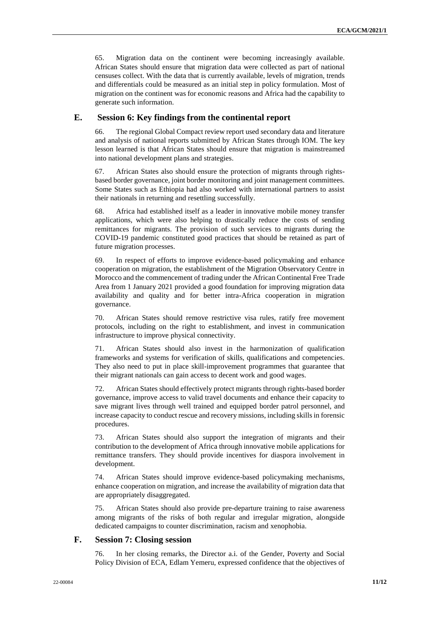65. Migration data on the continent were becoming increasingly available. African States should ensure that migration data were collected as part of national censuses collect. With the data that is currently available, levels of migration, trends and differentials could be measured as an initial step in policy formulation. Most of migration on the continent was for economic reasons and Africa had the capability to generate such information.

# **E. Session 6: Key findings from the continental report**

66. The regional Global Compact review report used secondary data and literature and analysis of national reports submitted by African States through IOM. The key lesson learned is that African States should ensure that migration is mainstreamed into national development plans and strategies.

67. African States also should ensure the protection of migrants through rightsbased border governance, joint border monitoring and joint management committees. Some States such as Ethiopia had also worked with international partners to assist their nationals in returning and resettling successfully.

68. Africa had established itself as a leader in innovative mobile money transfer applications, which were also helping to drastically reduce the costs of sending remittances for migrants. The provision of such services to migrants during the COVID-19 pandemic constituted good practices that should be retained as part of future migration processes.

69. In respect of efforts to improve evidence-based policymaking and enhance cooperation on migration, the establishment of the Migration Observatory Centre in Morocco and the commencement of trading under the African Continental Free Trade Area from 1 January 2021 provided a good foundation for improving migration data availability and quality and for better intra-Africa cooperation in migration governance.

70. African States should remove restrictive visa rules, ratify free movement protocols, including on the right to establishment, and invest in communication infrastructure to improve physical connectivity.

71. African States should also invest in the harmonization of qualification frameworks and systems for verification of skills, qualifications and competencies. They also need to put in place skill-improvement programmes that guarantee that their migrant nationals can gain access to decent work and good wages.

72. African States should effectively protect migrants through rights-based border governance, improve access to valid travel documents and enhance their capacity to save migrant lives through well trained and equipped border patrol personnel, and increase capacity to conduct rescue and recovery missions, including skills in forensic procedures.

73. African States should also support the integration of migrants and their contribution to the development of Africa through innovative mobile applications for remittance transfers. They should provide incentives for diaspora involvement in development.

74. African States should improve evidence-based policymaking mechanisms, enhance cooperation on migration, and increase the availability of migration data that are appropriately disaggregated.

75. African States should also provide pre-departure training to raise awareness among migrants of the risks of both regular and irregular migration, alongside dedicated campaigns to counter discrimination, racism and xenophobia.

# **F. Session 7: Closing session**

76. In her closing remarks, the Director a.i. of the Gender, Poverty and Social Policy Division of ECA, Edlam Yemeru, expressed confidence that the objectives of